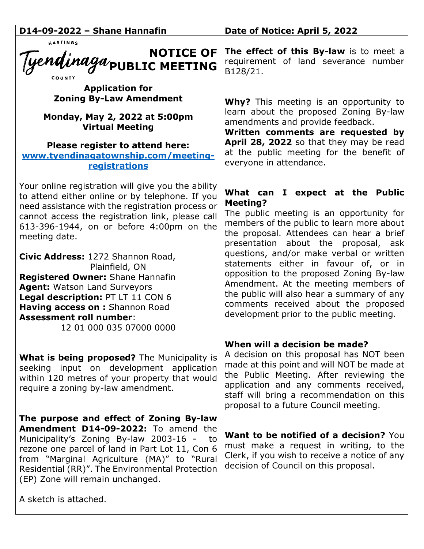| D14-09-2022 - Shane Hannafin                                                                                                                                                                                                                                                                                                                       | Date of Notice: April 5, 2022                                                                                                                                                                                                                                                                           |
|----------------------------------------------------------------------------------------------------------------------------------------------------------------------------------------------------------------------------------------------------------------------------------------------------------------------------------------------------|---------------------------------------------------------------------------------------------------------------------------------------------------------------------------------------------------------------------------------------------------------------------------------------------------------|
| HASTINGS<br>NOTICE OF<br>Tyendinaga/public MEETING                                                                                                                                                                                                                                                                                                 | The effect of this By-law is to meet a<br>requirement of land severance number<br>B128/21.                                                                                                                                                                                                              |
| <b>Application for</b><br><b>Zoning By-Law Amendment</b><br>Monday, May 2, 2022 at 5:00pm<br><b>Virtual Meeting</b><br>Please register to attend here:<br>www.tyendinagatownship.com/meeting-<br>registrations                                                                                                                                     | <b>Why?</b> This meeting is an opportunity to<br>learn about the proposed Zoning By-law<br>amendments and provide feedback.<br>Written comments are requested by<br>April 28, 2022 so that they may be read<br>at the public meeting for the benefit of<br>everyone in attendance.                      |
| Your online registration will give you the ability<br>to attend either online or by telephone. If you<br>need assistance with the registration process or<br>cannot access the registration link, please call<br>613-396-1944, on or before 4:00pm on the<br>meeting date.                                                                         | What can I expect at the Public<br><b>Meeting?</b><br>The public meeting is an opportunity for<br>members of the public to learn more about<br>the proposal. Attendees can hear a brief<br>presentation about the proposal, ask                                                                         |
| Civic Address: 1272 Shannon Road,<br>Plainfield, ON<br><b>Registered Owner: Shane Hannafin</b><br><b>Agent: Watson Land Surveyors</b><br>Legal description: PT LT 11 CON 6<br>Having access on : Shannon Road<br><b>Assessment roll number:</b><br>12 01 000 035 07000 0000                                                                        | questions, and/or make verbal or written<br>statements either in favour of, or in<br>opposition to the proposed Zoning By-law<br>Amendment. At the meeting members of<br>the public will also hear a summary of any<br>comments received about the proposed<br>development prior to the public meeting. |
| What is being proposed? The Municipality is<br>seeking input on development application<br>within 120 metres of your property that would<br>require a zoning by-law amendment.                                                                                                                                                                     | When will a decision be made?<br>A decision on this proposal has NOT been<br>made at this point and will NOT be made at<br>the Public Meeting. After reviewing the<br>application and any comments received,<br>staff will bring a recommendation on this<br>proposal to a future Council meeting.      |
| The purpose and effect of Zoning By-law<br>Amendment D14-09-2022: To amend the<br>Municipality's Zoning By-law 2003-16 -<br>to to<br>rezone one parcel of land in Part Lot 11, Con 6<br>from "Marginal Agriculture (MA)" to "Rural<br>Residential (RR)". The Environmental Protection<br>(EP) Zone will remain unchanged.<br>A sketch is attached. | <b>Want to be notified of a decision?</b> You<br>must make a request in writing, to the<br>Clerk, if you wish to receive a notice of any<br>decision of Council on this proposal.                                                                                                                       |
|                                                                                                                                                                                                                                                                                                                                                    |                                                                                                                                                                                                                                                                                                         |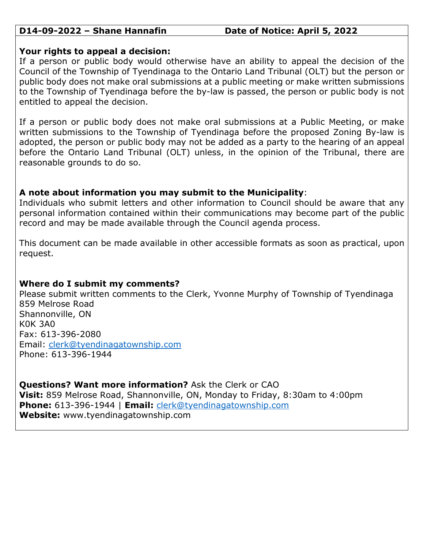## **D14-09-2022 – Shane Hannafin Date of Notice: April 5, 2022**

## **Your rights to appeal a decision:**

If a person or public body would otherwise have an ability to appeal the decision of the Council of the Township of Tyendinaga to the Ontario Land Tribunal (OLT) but the person or public body does not make oral submissions at a public meeting or make written submissions to the Township of Tyendinaga before the by-law is passed, the person or public body is not entitled to appeal the decision.

If a person or public body does not make oral submissions at a Public Meeting, or make written submissions to the Township of Tyendinaga before the proposed Zoning By-law is adopted, the person or public body may not be added as a party to the hearing of an appeal before the Ontario Land Tribunal (OLT) unless, in the opinion of the Tribunal, there are reasonable grounds to do so.

# **A note about information you may submit to the Municipality**:

Individuals who submit letters and other information to Council should be aware that any personal information contained within their communications may become part of the public record and may be made available through the Council agenda process.

This document can be made available in other accessible formats as soon as practical, upon request.

# **Where do I submit my comments?**

Please submit written comments to the Clerk, Yvonne Murphy of Township of Tyendinaga 859 Melrose Road Shannonville, ON K0K 3A0 Fax: 613-396-2080 Email: [clerk@tyendinagatownship.com](mailto:clerk@tyendinagatownship.com) Phone: 613-396-1944

**Questions? Want more information?** Ask the Clerk or CAO **Visit:** 859 Melrose Road, Shannonville, ON, Monday to Friday, 8:30am to 4:00pm **Phone:** 613-396-1944 | **Email:** [clerk@tyendinagatownship.com](mailto:clerk@tyendinagatownship.com) **Website:** www.tyendinagatownship.com